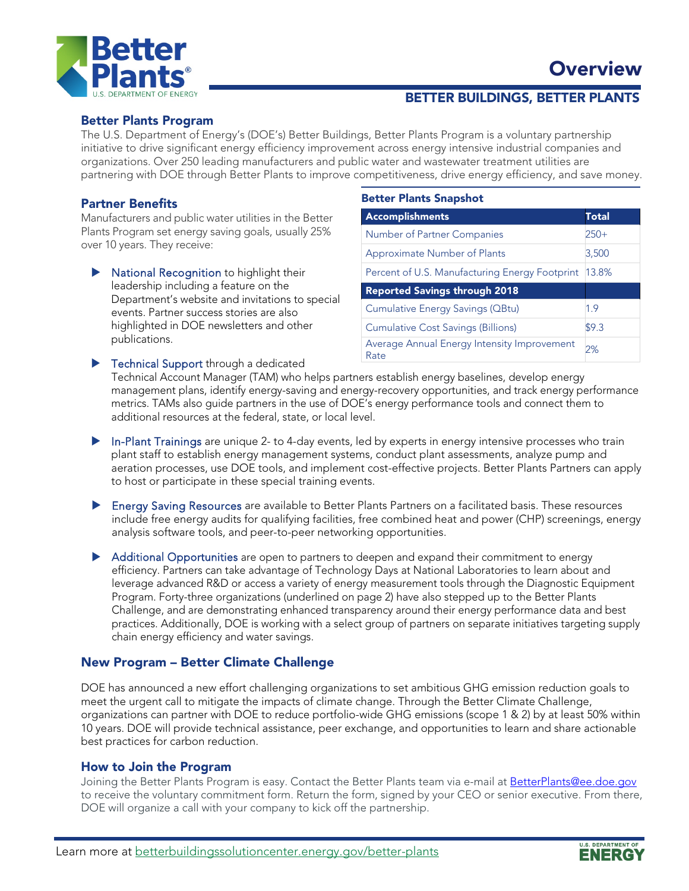



## BETTER BUILDINGS, BETTER PLANTS

### Better Plants Program

The U.S. Department of Energy's (DOE's) Better Buildings, Better Plants Program is a voluntary partnership initiative to drive significant energy efficiency improvement across energy intensive industrial companies and organizations. Over 250 leading manufacturers and public water and wastewater treatment utilities are partnering with DOE through Better Plants to improve competitiveness, drive energy efficiency, and save money.

### Partner Benefits

Manufacturers and public water utilities in the Better Plants Program set energy saving goals, usually 25% over 10 years. They receive:

 National Recognition to highlight their leadership including a feature on the Department's website and invitations to special events. Partner success stories are also highlighted in DOE newsletters and other publications.

#### Better Plants Snapshot

| <b>Accomplishments</b>                               | Total  |
|------------------------------------------------------|--------|
| Number of Partner Companies                          | $250+$ |
| Approximate Number of Plants                         | 3,500  |
| Percent of U.S. Manufacturing Energy Footprint 13.8% |        |
| <b>Reported Savings through 2018</b>                 |        |
| Cumulative Energy Savings (QBtu)                     | 1.9    |
| <b>Cumulative Cost Savings (Billions)</b>            | \$9.3  |
| Average Annual Energy Intensity Improvement<br>Rate  | 2%     |

Fechnical Support through a dedicated Technical Account Manager (TAM) who helps partners establish energy baselines, develop energy management plans, identify energy-saving and energy-recovery opportunities, and track energy performance metrics. TAMs also guide partners in the use of DOE's energy performance tools and connect them to additional resources at the federal, state, or local level.

- In-Plant Trainings are unique 2- to 4-day events, led by experts in energy intensive processes who train plant staff to establish energy management systems, conduct plant assessments, analyze pump and aeration processes, use DOE tools, and implement cost-effective projects. Better Plants Partners can apply to host or participate in these special training events.
- Energy Saving Resources are available to Better Plants Partners on a facilitated basis. These resources include free energy audits for qualifying facilities, free combined heat and power (CHP) screenings, energy analysis software tools, and peer-to-peer networking opportunities.
- Additional Opportunities are open to partners to deepen and expand their commitment to energy efficiency. Partners can take advantage of Technology Days at National Laboratories to learn about and leverage advanced R&D or access a variety of energy measurement tools through the Diagnostic Equipment Program. Forty-three organizations (underlined on page 2) have also stepped up to the Better Plants Challenge, and are demonstrating enhanced transparency around their energy performance data and best practices. Additionally, DOE is working with a select group of partners on separate initiatives targeting supply chain energy efficiency and water savings.

### New Program – Better Climate Challenge

DOE has announced a new effort challenging organizations to set ambitious GHG emission reduction goals to meet the urgent call to mitigate the impacts of climate change. Through the Better Climate Challenge, organizations can partner with DOE to reduce portfolio-wide GHG emissions (scope 1 & 2) by at least 50% within 10 years. DOE will provide technical assistance, peer exchange, and opportunities to learn and share actionable best practices for carbon reduction.

#### How to Join the Program

Joining the Better Plants Program is easy. Contact the Better Plants team via e-mail at [BetterPlants@ee.doe.gov](mailto:BetterPlants@ee.doe.gov) to receive the voluntary commitment form. Return the form, signed by your CEO or senior executive. From there, DOE will organize a call with your company to kick off the partnership.